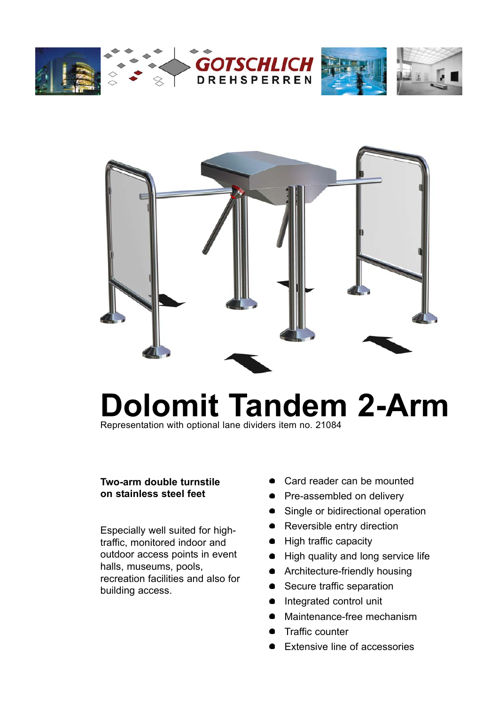



# **Dolomit Tandem 2-Arm**

Representation with optional lane dividers item no. 21084

#### **Two-arm double turnstile on stainless steel feet**

Especially well suited for hightraffic, monitored indoor and outdoor access points in event halls, museums, pools, recreation facilities and also for building access.

- Card reader can be mounted
- Pre-assembled on delivery
- Single or bidirectional operation
- Reversible entry direction
- High traffic capacity
- High quality and long service life
- **•** Architecture-friendly housing
- Secure traffic separation
- Integrated control unit
- $\bullet$ Maintenance-free mechanism
- Traffic counter
- Extensive line of accessories